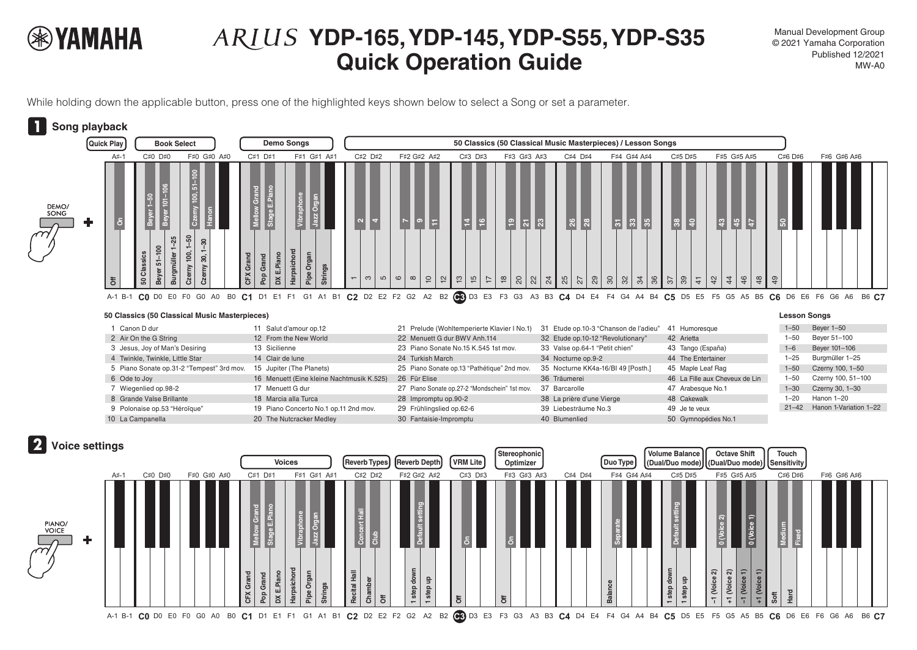

## **YDP-165, YDP-145, YDP-S55, YDP-S35 Quick Operation Guide May all the Second Average Cuick Operation Guide**

Manual Development Group © 2021 Yamaha Corporation

While holding down the applicable button, press one of the highlighted keys shown below to select a Song or set a parameter.



## **50 Classics (50 Classical Music Masterpieces) Lesson Songs**

|  | Canon D dur                               | 11 Salut d'amour op.12                    | 21 Prelude (Wohltemperierte Klavier I No.1)   | 31 Etude op.10-3 "Chanson de l'adieu" | 41 Humoresque                  | $1 - 50$ | Beyer 1-50                   |
|--|-------------------------------------------|-------------------------------------------|-----------------------------------------------|---------------------------------------|--------------------------------|----------|------------------------------|
|  | 2 Air On the G String                     | 12 From the New World                     | 22 Menuett G dur BWV Anh.114                  | 32 Etude op.10-12 "Revolutionary"     | 42 Arietta                     | $-50$    | Beyer 51-100                 |
|  | 3 Jesus, Joy of Man's Desiring            | 13 Sicilienne                             | 23 Piano Sonate No.15 K.545 1st mov.          | 33 Valse op.64-1 "Petit chien"        | 43 Tango (España)              | $1 - 6$  | Beyer 101-106                |
|  | 4 Twinkle, Twinkle, Little Star           | 14 Clair de lune                          | 24 Turkish March                              | 34 Nocturne op.9-2                    | 44 The Entertainer             | $1 - 25$ | Burgmüller 1-25              |
|  | 5 Piano Sonate op.31-2 "Tempest" 3rd mov. | 15 Jupiter (The Planets)                  | 25 Piano Sonate op.13 "Pathétique" 2nd mov.   | 35 Nocturne KK4a-16/BI 49 [Posth.]    | 45 Maple Leaf Rag              | $1 - 50$ | Czerny 100, 1-50             |
|  | 6 Ode to Joy                              | 16 Menuett (Eine kleine Nachtmusik K.525) | 26 Für Elise                                  | 36 Träumerei                          | 46 La Fille aux Cheveux de Lin | $1 - 50$ | Czerny 100, 51-100           |
|  | 7 Wiegenlied op.98-2                      | 17 Menuett G dur                          | 27 Piano Sonate op.27-2 "Mondschein" 1st mov. | 37 Barcarolle                         | 47 Arabesque No.1              | $1 - 30$ | Czerny 30, 1-30              |
|  | 8 Grande Valse Brillante                  | 18 Marcia alla Turca                      | 28 Impromptu op.90-2                          | 38 La prière d'une Vierge             | 48 Cakewalk                    | $1 - 20$ | Hanon 1–20                   |
|  | 9 Polonaise op.53 "Héroïque"              | 19 Piano Concerto No.1 op.11 2nd mov.     | 29 Frühlingslied op.62-6                      | 39 Liebesträume No.3                  | 49 Je te veux                  |          | 21-42 Hanon 1-Variation 1-22 |
|  | 10 La Campanella                          | 20 The Nutcracker Medley                  | 30 Fantaisie-Impromptu                        | 40 Blumenlied                         | 50 Gymnopédies No.1            |          |                              |